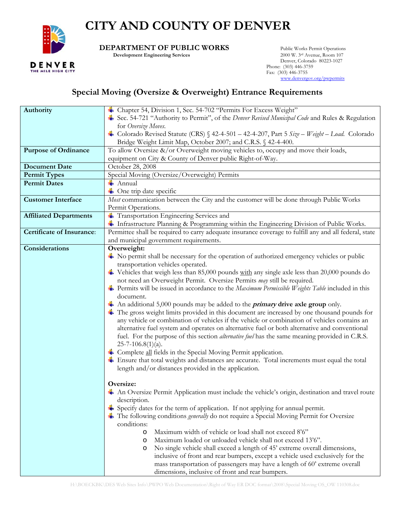

## **CITY AND COUNTY OF DENVER**

**DEPARTMENT OF PUBLIC WORKS** Public Works Permit Operations<br>Development Engineering Services 2000 W. 3rd Avenue, Room 107

**Development Engineering Services** 

 Denver, Colorado 80223-1027 Phone: (303) 446-3759 Fax: (303) 446-3755 www.denvergov.org/pwpermits

## **Special Moving (Oversize & Overweight) Entrance Requirements**

| Authority                        | Chapter 54, Division 1, Sec. 54-702 "Permits For Excess Weight"                                              |  |  |
|----------------------------------|--------------------------------------------------------------------------------------------------------------|--|--|
|                                  | Sec. 54-721 "Authority to Permit", of the <i>Denver Revised Municipal Code</i> and Rules & Regulation        |  |  |
|                                  | for Oversize Moves.                                                                                          |  |  |
|                                  | Colorado Revised Statute (CRS) § 42-4-501 - 42-4-207, Part 5 Size - Weight - Load. Colorado                  |  |  |
|                                  | Bridge Weight Limit Map, October 2007; and C.R.S. § 42-4-400.                                                |  |  |
| <b>Purpose of Ordinance</b>      | To allow Oversize &/or Overweight moving vehicles to, occupy and move their loads,                           |  |  |
|                                  | equipment on City & County of Denver public Right-of-Way.                                                    |  |  |
| <b>Document Date</b>             | October 28, 2008                                                                                             |  |  |
| <b>Permit Types</b>              |                                                                                                              |  |  |
| <b>Permit Dates</b>              | Special Moving (Oversize/Overweight) Permits<br>$\frac{1}{2}$ Annual                                         |  |  |
|                                  | + One trip date specific                                                                                     |  |  |
|                                  |                                                                                                              |  |  |
| <b>Customer Interface</b>        | Most communication between the City and the customer will be done through Public Works                       |  |  |
|                                  | Permit Operations.                                                                                           |  |  |
| <b>Affiliated Departments</b>    | Transportation Engineering Services and                                                                      |  |  |
|                                  | Infrastructure Planning & Programming within the Engineering Division of Public Works.                       |  |  |
| <b>Certificate of Insurance:</b> | Permittee shall be required to carry adequate insurance coverage to fulfill any and all federal, state       |  |  |
|                                  | and municipal government requirements.                                                                       |  |  |
| Considerations                   | Overweight:                                                                                                  |  |  |
|                                  | No permit shall be necessary for the operation of authorized emergency vehicles or public                    |  |  |
|                                  | transportation vehicles operated.                                                                            |  |  |
|                                  | $\blacktriangle$ Vehicles that weigh less than 85,000 pounds with any single axle less than 20,000 pounds do |  |  |
|                                  | not need an Overweight Permit. Oversize Permits may still be required.                                       |  |  |
|                                  | Permits will be issued in accordance to the <i>Maximum Permissible Weights Table</i> included in this        |  |  |
|                                  | document.                                                                                                    |  |  |
|                                  | $\triangleq$ An additional 5,000 pounds may be added to the <i>primary</i> drive axle group only.            |  |  |
|                                  | The gross weight limits provided in this document are increased by one thousand pounds for                   |  |  |
|                                  | any vehicle or combination of vehicles if the vehicle or combination of vehicles contains an                 |  |  |
|                                  | alternative fuel system and operates on alternative fuel or both alternative and conventional                |  |  |
|                                  | fuel. For the purpose of this section <i>alternative fuel</i> has the same meaning provided in C.R.S.        |  |  |
|                                  | $25 - 7 - 106.8(1)(a)$ .                                                                                     |  |  |
|                                  | Complete all fields in the Special Moving Permit application.                                                |  |  |
|                                  | <b>↓</b> Ensure that total weights and distances are accurate. Total increments must equal the total         |  |  |
|                                  | length and/or distances provided in the application.                                                         |  |  |
|                                  |                                                                                                              |  |  |
|                                  | Oversize:                                                                                                    |  |  |
|                                  | An Oversize Permit Application must include the vehicle's origin, destination and travel route               |  |  |
|                                  | description.                                                                                                 |  |  |
|                                  | $\frac{1}{2}$ Specify dates for the term of application. If not applying for annual permit.                  |  |  |
|                                  | The following conditions <i>generally</i> do not require a Special Moving Permit for Oversize                |  |  |
|                                  | conditions:                                                                                                  |  |  |
|                                  | Maximum width of vehicle or load shall not exceed 8'6"<br>$\circ$                                            |  |  |
|                                  | Maximum loaded or unloaded vehicle shall not exceed 13'6".<br>$\circ$                                        |  |  |
|                                  | No single vehicle shall exceed a length of 45' extreme overall dimensions,<br>$\circ$                        |  |  |
|                                  | inclusive of front and rear bumpers, except a vehicle used exclusively for the                               |  |  |
|                                  | mass transportation of passengers may have a length of 60' extreme overall                                   |  |  |
|                                  | dimensions, inclusive of front and rear bumpers.                                                             |  |  |
|                                  |                                                                                                              |  |  |